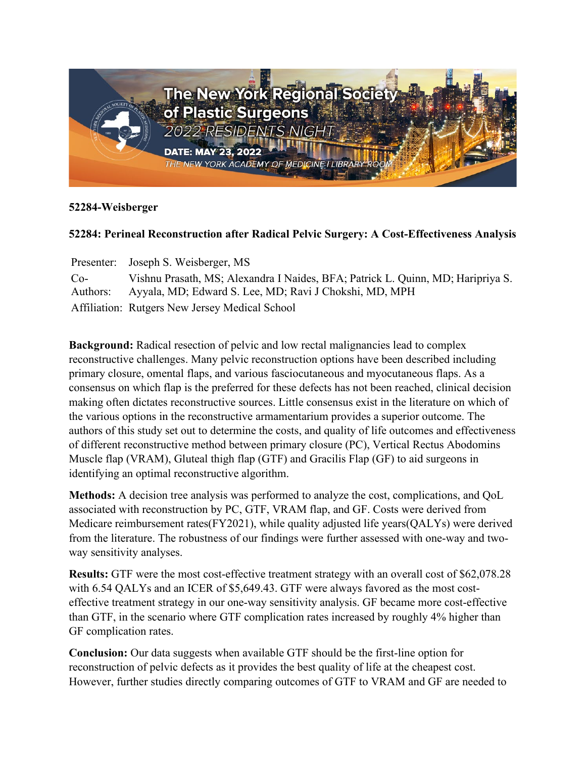

## **52284-Weisberger**

## **52284: Perineal Reconstruction after Radical Pelvic Surgery: A Cost-Effectiveness Analysis**

Presenter: Joseph S. Weisberger, MS  $Co-$ Authors: Vishnu Prasath, MS; Alexandra I Naides, BFA; Patrick L. Quinn, MD; Haripriya S. Ayyala, MD; Edward S. Lee, MD; Ravi J Chokshi, MD, MPH Affiliation: Rutgers New Jersey Medical School

**Background:** Radical resection of pelvic and low rectal malignancies lead to complex reconstructive challenges. Many pelvic reconstruction options have been described including primary closure, omental flaps, and various fasciocutaneous and myocutaneous flaps. As a consensus on which flap is the preferred for these defects has not been reached, clinical decision making often dictates reconstructive sources. Little consensus exist in the literature on which of the various options in the reconstructive armamentarium provides a superior outcome. The authors of this study set out to determine the costs, and quality of life outcomes and effectiveness of different reconstructive method between primary closure (PC), Vertical Rectus Abodomins Muscle flap (VRAM), Gluteal thigh flap (GTF) and Gracilis Flap (GF) to aid surgeons in identifying an optimal reconstructive algorithm.

**Methods:** A decision tree analysis was performed to analyze the cost, complications, and QoL associated with reconstruction by PC, GTF, VRAM flap, and GF. Costs were derived from Medicare reimbursement rates(FY2021), while quality adjusted life years(QALYs) were derived from the literature. The robustness of our findings were further assessed with one-way and twoway sensitivity analyses.

**Results:** GTF were the most cost-effective treatment strategy with an overall cost of \$62,078.28 with 6.54 QALYs and an ICER of \$5,649.43. GTF were always favored as the most costeffective treatment strategy in our one-way sensitivity analysis. GF became more cost-effective than GTF, in the scenario where GTF complication rates increased by roughly 4% higher than GF complication rates.

**Conclusion:** Our data suggests when available GTF should be the first-line option for reconstruction of pelvic defects as it provides the best quality of life at the cheapest cost. However, further studies directly comparing outcomes of GTF to VRAM and GF are needed to